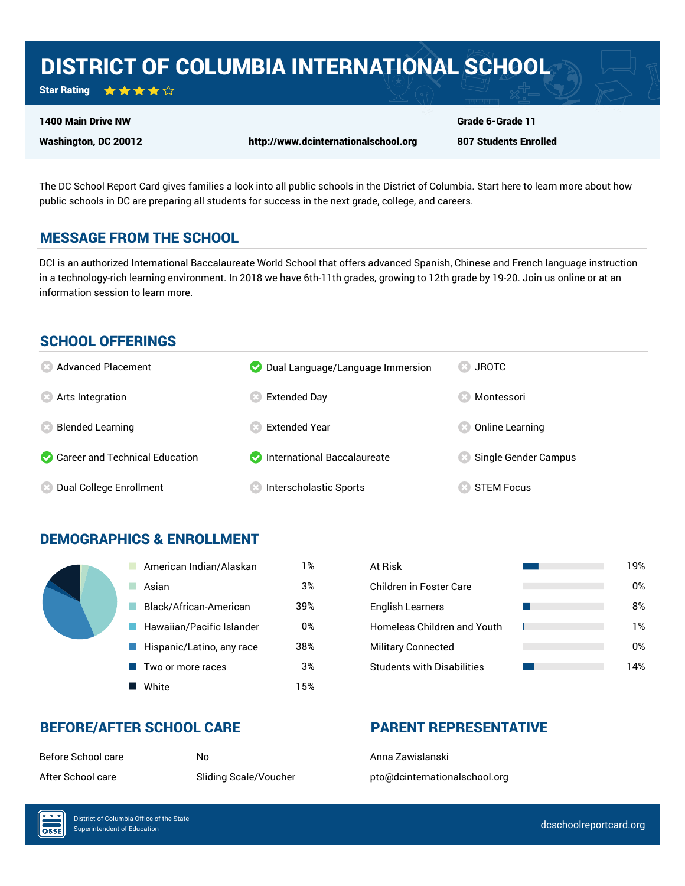## DISTRICT OF COLUMBIA INTERNATIONAL SCHOOL

Star Rating ★★★★☆

### 1400 Main Drive NW

Washington, DC 20012 http://www.dcinternationalschool.org

807 Students Enrolled

Grade 6-Grade 11

The DC School Report Card gives families a look into all public schools in the District of Columbia. Start here to learn more about how public schools in DC are preparing all students for success in the next grade, college, and careers.

### MESSAGE FROM THE SCHOOL

DCI is an authorized International Baccalaureate World School that offers advanced Spanish, Chinese and French language instruction in a technology-rich learning environment. In 2018 we have 6th-11th grades, growing to 12th grade by 19-20. Join us online or at an information session to learn more.

### SCHOOL OFFERINGS

| <b>8</b> Advanced Placement      | Dual Language/Language Immersion | JROTC<br>$\left( 33 \right)$ |
|----------------------------------|----------------------------------|------------------------------|
| <b>8</b> Arts Integration        | <b>Extended Day</b>              | Montessori                   |
| <b>Blended Learning</b>          | Extended Year                    | Online Learning              |
| Career and Technical Education   | International Baccalaureate      | Single Gender Campus         |
| <b>8</b> Dual College Enrollment | <b>Interscholastic Sports</b>    | <b>STEM Focus</b>            |

### DEMOGRAPHICS & ENROLLMENT

| American Indian/Alaskan   | 1%  | At Risk                            |
|---------------------------|-----|------------------------------------|
| Asian                     | 3%  | <b>Children in Foster Care</b>     |
| Black/African-American    | 39% | <b>English Learners</b>            |
| Hawaiian/Pacific Islander | 0%  | <b>Homeless Children and Youth</b> |
| Hispanic/Latino, any race | 38% | <b>Military Connected</b>          |
| Two or more races         | 3%  | <b>Students with Disabilities</b>  |
| White                     | 15% |                                    |

| At Risk                            | 19% |
|------------------------------------|-----|
| Children in Foster Care            | 0%  |
| <b>English Learners</b>            | 8%  |
| <b>Homeless Children and Youth</b> | 1%  |
| <b>Military Connected</b>          | 0%  |
| <b>Students with Disabilities</b>  | 14% |

### BEFORE/AFTER SCHOOL CARE PARENT REPRESENTATIVE

OSSE

Before School care No Anna Zawislanski

After School care The Sliding Scale/Voucher The pto@dcinternationalschool.org